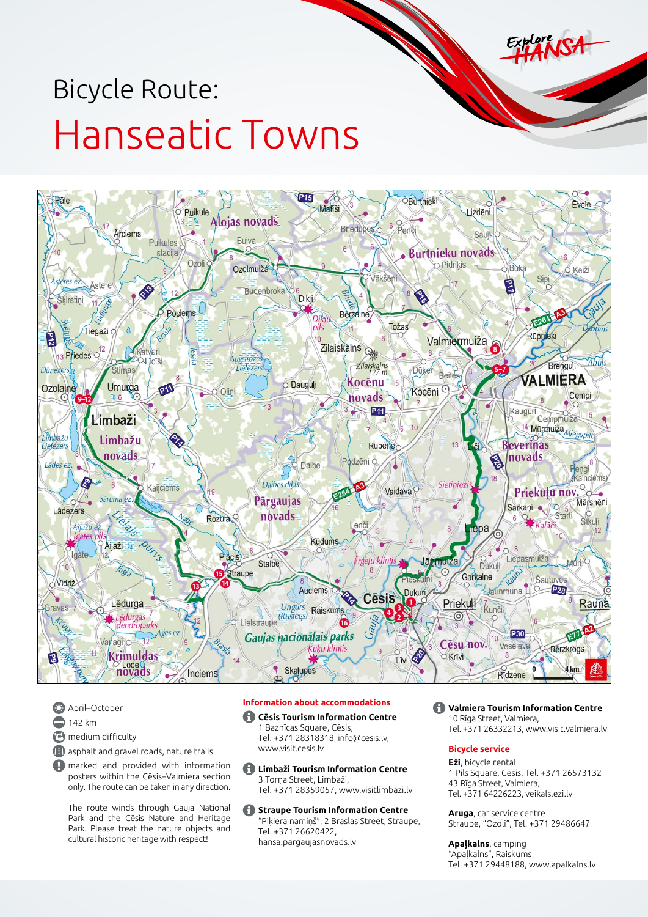# Bicycle Route: Hanseatic Towns



- **April–October**  $142 km$ **<sup>n</sup>** medium difficulty
- (**H**) asphalt and gravel roads, nature trails

**A** marked and provided with information posters within the Cēsis–Valmiera section only. The route can be taken in any direction.

The route winds through Gauja National Park and the Cēsis Nature and Heritage Park. Please treat the nature objects and cultural historic heritage with respect!

# **Information about accommodations**

# **Cēsis Tourism Information Centre**

1 Baznīcas Square, Cēsis, Tel. +371 28318318, [info@cesis.lv,](mailto:info@cesis.lv) [www.visit.cesis.lv](http://www.visit.cesis.lv)

- **Limbaži Tourism Information Centre** 3 Torņa Street, Limbaži, Tel. +371 28359057, [www.visitlimbazi.lv](http://www.visitlimbazi.lv)
- **Straupe Tourism Information Centre** "Piķiera namiņš", 2 Braslas Street, Straupe, Tel. +371 26620422, [hansa.pargaujasnovads.lv](http://hansa.pargaujasnovads.lv/)

**Valmiera Tourism Information Centre** 10 Rīga Street, Valmiera, Tel. +371 26332213, [www.visit.valmiera.lv](http://www.visit.valmiera.lv)

# **Bicycle service**

**Eži**, bicycle rental 1 Pils Square, Cēsis, Tel. +371 26573132 43 Rīga Street, Valmiera, Tel. +371 64226223, [veikals.ezi.lv](http://www.veikals.ezi.lv)

**Aruga**, car service centre Straupe, "Ozoli", Tel. +371 29486647

**Apaļkalns**, camping "Apaļkalns", Raiskums, Tel. +371 29448188, [www.apalkalns.lv](http://www.apalkalns.lv)